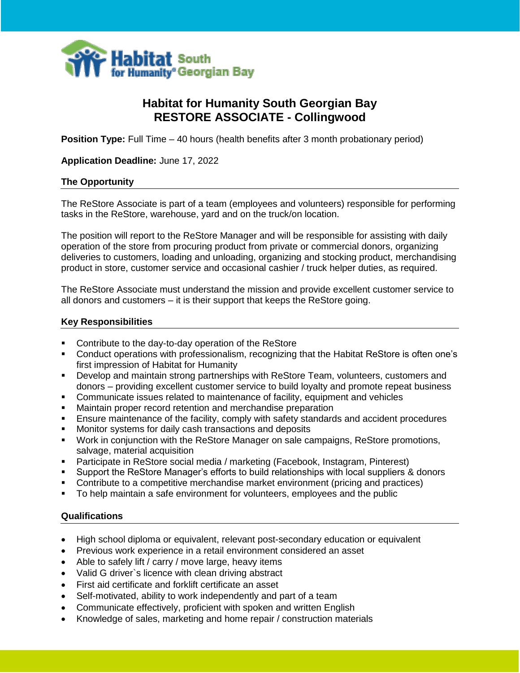

# **Habitat for Humanity South Georgian Bay RESTORE ASSOCIATE - Collingwood**

**Position Type:** Full Time – 40 hours (health benefits after 3 month probationary period)

**Application Deadline:** June 17, 2022

#### **The Opportunity**

Ξ

٦

The ReStore Associate is part of a team (employees and volunteers) responsible for performing tasks in the ReStore, warehouse, yard and on the truck/on location.

The position will report to the ReStore Manager and will be responsible for assisting with daily operation of the store from procuring product from private or commercial donors, organizing deliveries to customers, loading and unloading, organizing and stocking product, merchandising product in store, customer service and occasional cashier / truck helper duties, as required.

The ReStore Associate must understand the mission and provide excellent customer service to all donors and customers – it is their support that keeps the ReStore going.

#### **Key Responsibilities**

- Contribute to the day-to-day operation of the ReStore
- Conduct operations with professionalism, recognizing that the Habitat ReStore is often one's first impression of Habitat for Humanity
- Develop and maintain strong partnerships with ReStore Team, volunteers, customers and donors – providing excellent customer service to build loyalty and promote repeat business
- Communicate issues related to maintenance of facility, equipment and vehicles
- Maintain proper record retention and merchandise preparation
- **Ensure maintenance of the facility, comply with safety standards and accident procedures**
- Monitor systems for daily cash transactions and deposits
- Work in conjunction with the ReStore Manager on sale campaigns, ReStore promotions, salvage, material acquisition
- Participate in ReStore social media / marketing (Facebook, Instagram, Pinterest)
- Support the ReStore Manager's efforts to build relationships with local suppliers & donors
- Contribute to a competitive merchandise market environment (pricing and practices)
- To help maintain a safe environment for volunteers, employees and the public

#### **Qualifications**

Ξ

- High school diploma or equivalent, relevant post-secondary education or equivalent
- Previous work experience in a retail environment considered an asset
- Able to safely lift / carry / move large, heavy items
- Valid G driver`s licence with clean driving abstract
- First aid certificate and forklift certificate an asset
- Self-motivated, ability to work independently and part of a team
- Communicate effectively, proficient with spoken and written English
- Knowledge of sales, marketing and home repair / construction materials